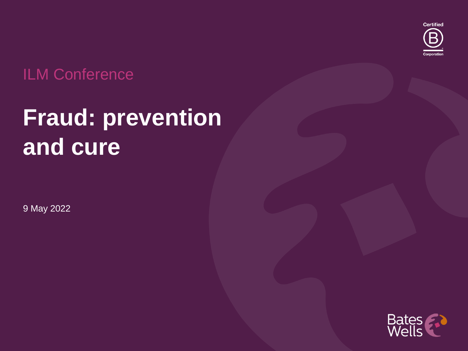

### ILM Conference

## **Fraud: prevention and cure**

9 May 2022

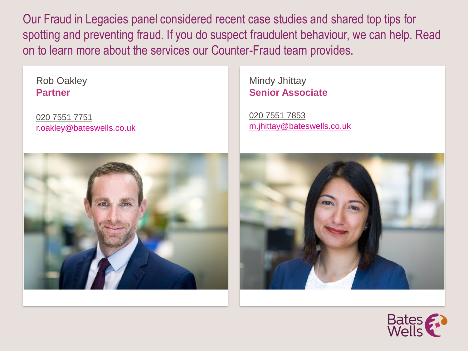Our Fraud in Legacies panel considered recent case studies and shared top tips for spotting and preventing fraud. If you do suspect fraudulent behaviour, we can help. Read on to learn more about the services our Counter-Fraud team provides.

Rob Oakley **Partner**

020 7551 7751 [r.oakley@bateswells.co.uk](mailto:r.oakley@bateswells.co.uk) Mindy Jhittay **Senior Associate**

020 7551 7853 [m.jhittay@bateswells.co.uk](mailto:m.jhittay@bateswells.co.uk)





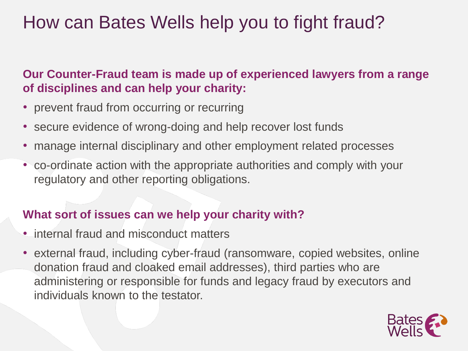## How can Bates Wells help you to fight fraud?

#### **Our Counter-Fraud team is made up of experienced lawyers from a range of disciplines and can help your charity:**

- prevent fraud from occurring or recurring
- secure evidence of wrong-doing and help recover lost funds
- manage internal disciplinary and other employment related processes
- co-ordinate action with the appropriate authorities and comply with your regulatory and other reporting obligations.

#### **What sort of issues can we help your charity with?**

- internal fraud and misconduct matters
- external fraud, including cyber-fraud (ransomware, copied websites, online donation fraud and cloaked email addresses), third parties who are administering or responsible for funds and legacy fraud by executors and individuals known to the testator.

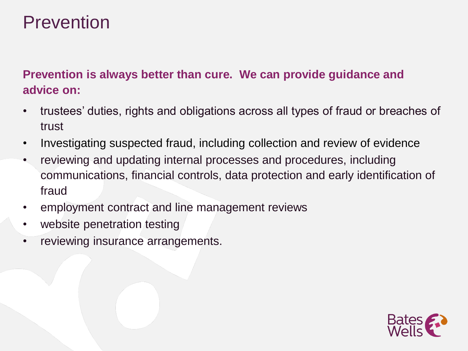## Prevention

#### **Prevention is always better than cure. We can provide guidance and advice on:**

- trustees' duties, rights and obligations across all types of fraud or breaches of trust
- Investigating suspected fraud, including collection and review of evidence
- reviewing and updating internal processes and procedures, including communications, financial controls, data protection and early identification of fraud
- employment contract and line management reviews
- website penetration testing
- reviewing insurance arrangements.

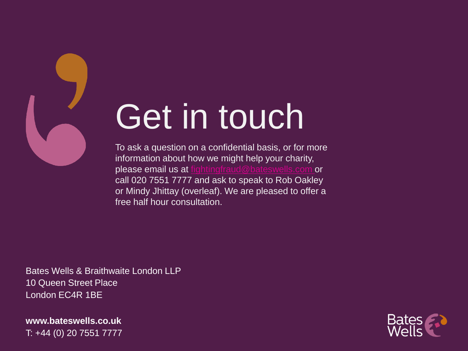

# Get in touch

To ask a question on a confidential basis, or for more information about how we might help your charity, please email us at [fightingfraud@bateswells.com](mailto:fightingfraud@bateswells.com) or call 020 7551 7777 and ask to speak to Rob Oakley or Mindy Jhittay (overleaf). We are pleased to offer a free half hour consultation.

Bates Wells & Braithwaite London LLP 10 Queen Street Place London EC4R 1BE

**www.bateswells.co.uk** T: +44 (0) 20 7551 7777

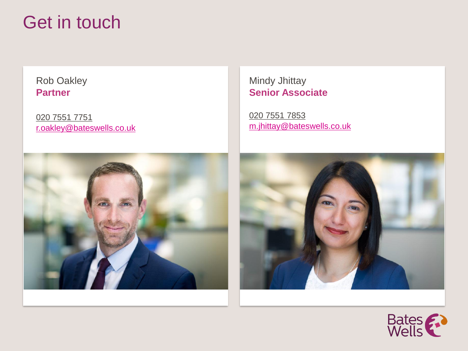## Get in touch

Rob Oakley **Partner**

020 7551 7751 [r.oakley@bateswells.co.uk](mailto:r.oakley@bateswells.co.uk)

#### Mindy Jhittay **Senior Associate**

020 7551 7853 [m.jhittay@bateswells.co.uk](mailto:m.jhittay@bateswells.co.uk)